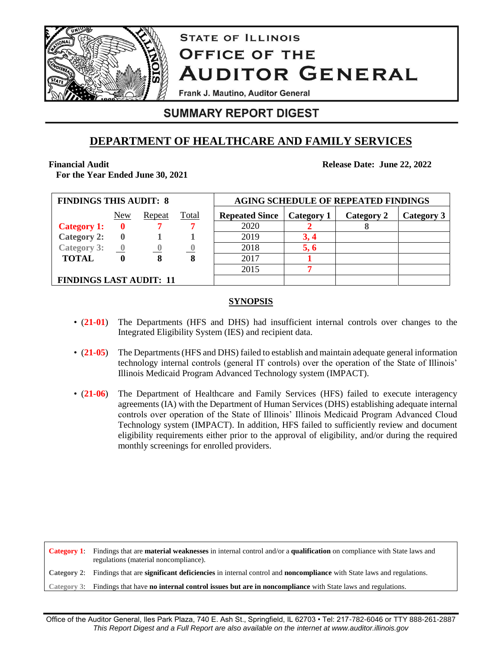

# **STATE OF ILLINOIS OFFICE OF THE AUDITOR GENERAL**

Frank J. Mautino, Auditor General

# **SUMMARY REPORT DIGEST**

# **DEPARTMENT OF HEALTHCARE AND FAMILY SERVICES**

## **Financial Audit**

**For the Year Ended June 30, 2021**

**Release Date: June 22, 2022**

| <b>FINDINGS THIS AUDIT: 8</b>  |                          |        |              | <b>AGING SCHEDULE OF REPEATED FINDINGS</b> |            |            |            |  |
|--------------------------------|--------------------------|--------|--------------|--------------------------------------------|------------|------------|------------|--|
|                                | <b>New</b>               | Repeat | <b>Total</b> | <b>Repeated Since</b>                      | Category 1 | Category 2 | Category 3 |  |
| <b>Category 1:</b>             |                          |        |              | 2020                                       |            |            |            |  |
| <b>Category 2:</b>             |                          |        |              | 2019                                       | 3.4        |            |            |  |
| <b>Category 3:</b>             | $\overline{\phantom{a}}$ |        |              | 2018                                       | 5, 6       |            |            |  |
| <b>TOTAL</b>                   |                          | 8      | 8            | 2017                                       |            |            |            |  |
|                                |                          |        |              | 2015                                       |            |            |            |  |
| <b>FINDINGS LAST AUDIT: 11</b> |                          |        |              |                                            |            |            |            |  |

## **SYNOPSIS**

- (**21-01**) The Departments (HFS and DHS) had insufficient internal controls over changes to the Integrated Eligibility System (IES) and recipient data.
- (**21-05**) The Departments (HFS and DHS) failed to establish and maintain adequate general information technology internal controls (general IT controls) over the operation of the State of Illinois' Illinois Medicaid Program Advanced Technology system (IMPACT).
- (21-06) The Department of Healthcare and Family Services (HFS) failed to execute interagency agreements (IA) with the Department of Human Services (DHS) establishing adequate internal controls over operation of the State of Illinois' Illinois Medicaid Program Advanced Cloud Technology system (IMPACT). In addition, HFS failed to sufficiently review and document eligibility requirements either prior to the approval of eligibility, and/or during the required monthly screenings for enrolled providers.

**Category 1**: Findings that are **material weaknesses** in internal control and/or a **qualification** on compliance with State laws and regulations (material noncompliance). **Category 2**: Findings that are **significant deficiencies** in internal control and **noncompliance** with State laws and regulations.

**Category 3**: Findings that have **no internal control issues but are in noncompliance** with State laws and regulations.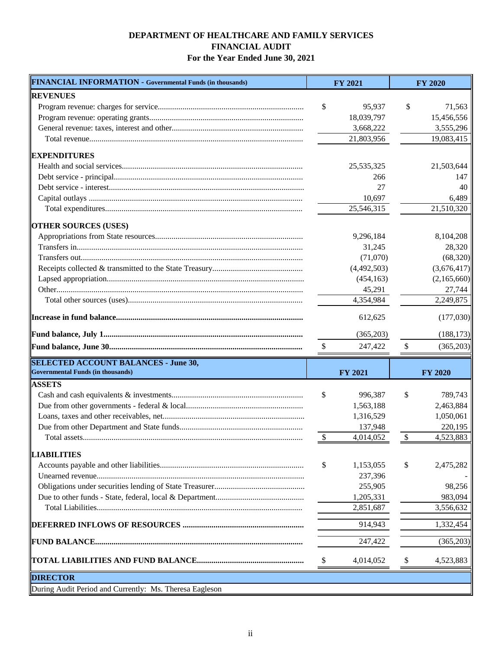## **DEPARTMENT OF HEALTHCARE AND FAMILY SERVICES FINANCIAL AUDIT For the Year Ended June 30, 2021**

| FINANCIAL INFORMATION - Governmental Funds (in thousands) |               | <b>FY 2021</b> | <b>FY 2020</b>  |
|-----------------------------------------------------------|---------------|----------------|-----------------|
| <b>REVENUES</b>                                           |               |                |                 |
|                                                           | \$            | 95,937         | \$<br>71,563    |
|                                                           |               | 18,039,797     | 15,456,556      |
|                                                           |               | 3,668,222      | 3,555,296       |
|                                                           |               | 21,803,956     | 19,083,415      |
| <b>EXPENDITURES</b>                                       |               |                |                 |
|                                                           |               | 25,535,325     | 21,503,644      |
|                                                           |               | 266            | 147             |
|                                                           |               | 27             | 40              |
|                                                           |               | 10,697         | 6,489           |
|                                                           |               | 25,546,315     | 21,510,320      |
| <b>OTHER SOURCES (USES)</b>                               |               |                |                 |
|                                                           |               | 9,296,184      | 8,104,208       |
|                                                           |               | 31,245         | 28,320          |
|                                                           |               | (71,070)       | (68,320)        |
|                                                           |               | (4,492,503)    | (3,676,417)     |
|                                                           |               | (454, 163)     | (2,165,660)     |
|                                                           |               | 45,291         | 27,744          |
|                                                           |               | 4,354,984      | 2,249,875       |
|                                                           |               | 612,625        | (177,030)       |
|                                                           |               | (365,203)      | (188, 173)      |
|                                                           | \$            | 247,422        | \$<br>(365,203) |
|                                                           |               |                |                 |
| <b>SELECTED ACCOUNT BALANCES - June 30,</b>               |               |                |                 |
| <b>Governmental Funds (in thousands)</b>                  |               | <b>FY 2021</b> | <b>FY 2020</b>  |
| <b>ASSETS</b>                                             |               |                |                 |
|                                                           | \$            | 996,387        | \$<br>789,743   |
|                                                           |               | 1,563,188      | 2,463,884       |
|                                                           |               | 1,316,529      | 1,050,061       |
|                                                           |               | 137,948        | 220,195         |
|                                                           | $\mathcal{S}$ | 4,014,052      | \$<br>4,523,883 |
| <b>LIABILITIES</b>                                        |               |                |                 |
|                                                           | \$            | 1,153,055      | \$<br>2,475,282 |
|                                                           |               | 237,396        |                 |
|                                                           |               | 255,905        | 98,256          |
|                                                           |               | 1,205,331      | 983,094         |
|                                                           |               | 2,851,687      | 3,556,632       |
|                                                           |               | 914,943        | 1,332,454       |
|                                                           |               | 247,422        | (365,203)       |
|                                                           | \$            | 4,014,052      | \$<br>4,523,883 |
| <b>DIRECTOR</b>                                           |               |                |                 |
| During Audit Period and Currently: Ms. Theresa Eagleson   |               |                |                 |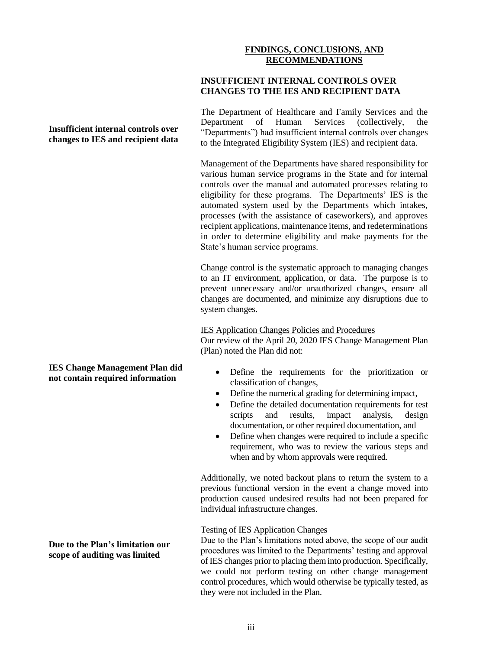### **FINDINGS, CONCLUSIONS, AND RECOMMENDATIONS**

### **INSUFFICIENT INTERNAL CONTROLS OVER CHANGES TO THE IES AND RECIPIENT DATA**

The Department of Healthcare and Family Services and the Department of Human Services (collectively, the "Departments") had insufficient internal controls over changes to the Integrated Eligibility System (IES) and recipient data.

Management of the Departments have shared responsibility for various human service programs in the State and for internal controls over the manual and automated processes relating to eligibility for these programs. The Departments' IES is the automated system used by the Departments which intakes, processes (with the assistance of caseworkers), and approves recipient applications, maintenance items, and redeterminations in order to determine eligibility and make payments for the State's human service programs.

Change control is the systematic approach to managing changes to an IT environment, application, or data. The purpose is to prevent unnecessary and/or unauthorized changes, ensure all changes are documented, and minimize any disruptions due to system changes.

### IES Application Changes Policies and Procedures

Our review of the April 20, 2020 IES Change Management Plan (Plan) noted the Plan did not:

- Define the requirements for the prioritization or classification of changes,
- Define the numerical grading for determining impact,
- Define the detailed documentation requirements for test scripts and results, impact analysis, design documentation, or other required documentation, and
- Define when changes were required to include a specific requirement, who was to review the various steps and when and by whom approvals were required.

Additionally, we noted backout plans to return the system to a previous functional version in the event a change moved into production caused undesired results had not been prepared for individual infrastructure changes.

### Testing of IES Application Changes

Due to the Plan's limitations noted above, the scope of our audit procedures was limited to the Departments' testing and approval of IES changes prior to placing them into production. Specifically, we could not perform testing on other change management control procedures, which would otherwise be typically tested, as they were not included in the Plan.

### **Insufficient internal controls over changes to IES and recipient data**

### **IES Change Management Plan did not contain required information**

**Due to the Plan's limitation our scope of auditing was limited**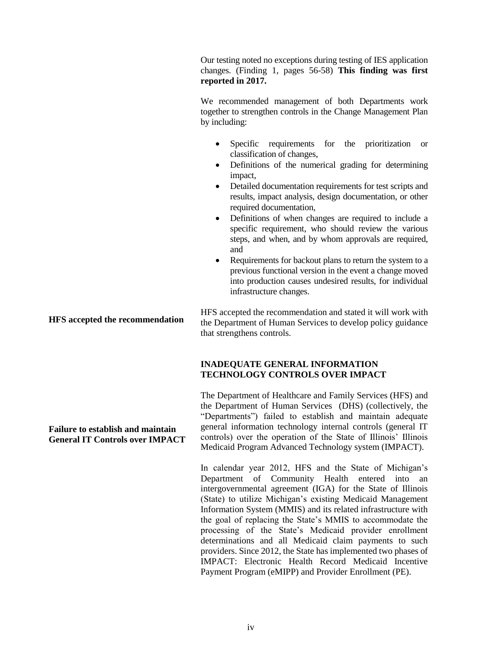Our testing noted no exceptions during testing of IES application changes. (Finding 1, pages 56-58) **This finding was first reported in 2017.** 

We recommended management of both Departments work together to strengthen controls in the Change Management Plan by including:

- Specific requirements for the prioritization or classification of changes,
- Definitions of the numerical grading for determining impact,
- Detailed documentation requirements for test scripts and results, impact analysis, design documentation, or other required documentation,
- Definitions of when changes are required to include a specific requirement, who should review the various steps, and when, and by whom approvals are required, and
- Requirements for backout plans to return the system to a previous functional version in the event a change moved into production causes undesired results, for individual infrastructure changes.

**HFS accepted the recommendation** HFS accepted the recommendation and stated it will work with the Department of Human Services to develop policy guidance that strengthens controls.

### **INADEQUATE GENERAL INFORMATION TECHNOLOGY CONTROLS OVER IMPACT**

The Department of Healthcare and Family Services (HFS) and the Department of Human Services (DHS) (collectively, the "Departments") failed to establish and maintain adequate general information technology internal controls (general IT controls) over the operation of the State of Illinois' Illinois Medicaid Program Advanced Technology system (IMPACT).

In calendar year 2012, HFS and the State of Michigan's Department of Community Health entered into an intergovernmental agreement (IGA) for the State of Illinois (State) to utilize Michigan's existing Medicaid Management Information System (MMIS) and its related infrastructure with the goal of replacing the State's MMIS to accommodate the processing of the State's Medicaid provider enrollment determinations and all Medicaid claim payments to such providers. Since 2012, the State has implemented two phases of IMPACT: Electronic Health Record Medicaid Incentive Payment Program (eMIPP) and Provider Enrollment (PE).

# **Failure to establish and maintain**

# **General IT Controls over IMPACT**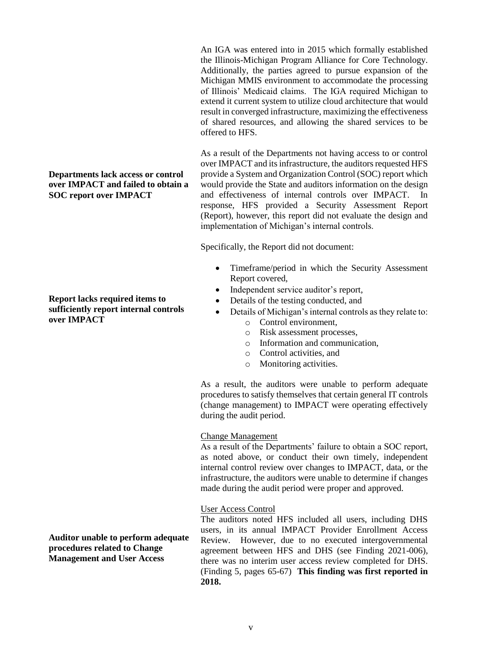**Departments lack access or control over IMPACT and failed to obtain a SOC report over IMPACT**

### **Report lacks required items to sufficiently report internal controls over IMPACT**

An IGA was entered into in 2015 which formally established the Illinois-Michigan Program Alliance for Core Technology. Additionally, the parties agreed to pursue expansion of the Michigan MMIS environment to accommodate the processing of Illinois' Medicaid claims. The IGA required Michigan to extend it current system to utilize cloud architecture that would result in converged infrastructure, maximizing the effectiveness of shared resources, and allowing the shared services to be offered to HFS.

As a result of the Departments not having access to or control over IMPACT and its infrastructure, the auditors requested HFS provide a System and Organization Control (SOC) report which would provide the State and auditors information on the design and effectiveness of internal controls over IMPACT. In response, HFS provided a Security Assessment Report (Report), however, this report did not evaluate the design and implementation of Michigan's internal controls.

Specifically, the Report did not document:

- Timeframe/period in which the Security Assessment Report covered,
- Independent service auditor's report,
- Details of the testing conducted, and
- Details of Michigan's internal controls as they relate to:
	- o Control environment,
	- o Risk assessment processes,
	- o Information and communication,
	- o Control activities, and
	- o Monitoring activities.

As a result, the auditors were unable to perform adequate procedures to satisfy themselves that certain general IT controls (change management) to IMPACT were operating effectively during the audit period.

### Change Management

As a result of the Departments' failure to obtain a SOC report, as noted above, or conduct their own timely, independent internal control review over changes to IMPACT, data, or the infrastructure, the auditors were unable to determine if changes made during the audit period were proper and approved.

### User Access Control

The auditors noted HFS included all users, including DHS users, in its annual IMPACT Provider Enrollment Access Review. However, due to no executed intergovernmental agreement between HFS and DHS (see Finding 2021-006), there was no interim user access review completed for DHS. (Finding 5, pages 65-67) **This finding was first reported in 2018.**

**Auditor unable to perform adequate procedures related to Change Management and User Access**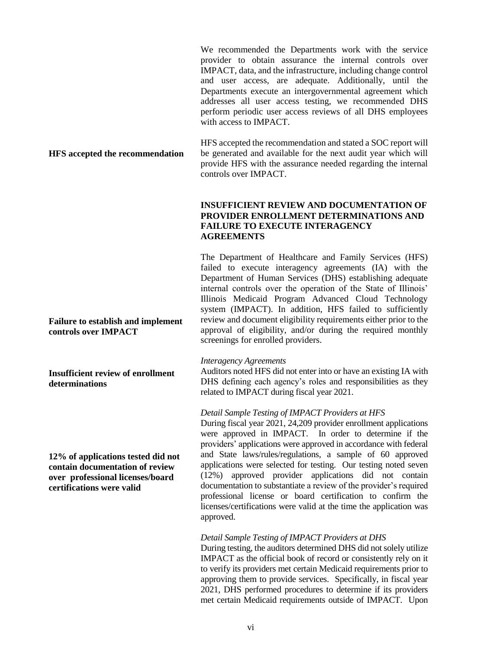We recommended the Departments work with the service provider to obtain assurance the internal controls over IMPACT, data, and the infrastructure, including change control and user access, are adequate. Additionally, until the Departments execute an intergovernmental agreement which addresses all user access testing, we recommended DHS perform periodic user access reviews of all DHS employees with access to IMPACT.

### **HFS accepted the recommendation**

HFS accepted the recommendation and stated a SOC report will be generated and available for the next audit year which will provide HFS with the assurance needed regarding the internal controls over IMPACT.

### **INSUFFICIENT REVIEW AND DOCUMENTATION OF PROVIDER ENROLLMENT DETERMINATIONS AND FAILURE TO EXECUTE INTERAGENCY AGREEMENTS**

The Department of Healthcare and Family Services (HFS) failed to execute interagency agreements (IA) with the Department of Human Services (DHS) establishing adequate internal controls over the operation of the State of Illinois' Illinois Medicaid Program Advanced Cloud Technology system (IMPACT). In addition, HFS failed to sufficiently review and document eligibility requirements either prior to the approval of eligibility, and/or during the required monthly screenings for enrolled providers.

### *Interagency Agreements*

Auditors noted HFS did not enter into or have an existing IA with DHS defining each agency's roles and responsibilities as they related to IMPACT during fiscal year 2021.

### *Detail Sample Testing of IMPACT Providers at HFS*

During fiscal year 2021, 24,209 provider enrollment applications were approved in IMPACT. In order to determine if the providers' applications were approved in accordance with federal and State laws/rules/regulations, a sample of 60 approved applications were selected for testing. Our testing noted seven (12%) approved provider applications did not contain documentation to substantiate a review of the provider's required professional license or board certification to confirm the licenses/certifications were valid at the time the application was approved.

### *Detail Sample Testing of IMPACT Providers at DHS*

During testing, the auditors determined DHS did not solely utilize IMPACT as the official book of record or consistently rely on it to verify its providers met certain Medicaid requirements prior to approving them to provide services. Specifically, in fiscal year 2021, DHS performed procedures to determine if its providers met certain Medicaid requirements outside of IMPACT. Upon

**Failure to establish and implement controls over IMPACT**

**Insufficient review of enrollment determinations**

**12% of applications tested did not contain documentation of review over professional licenses/board certifications were valid**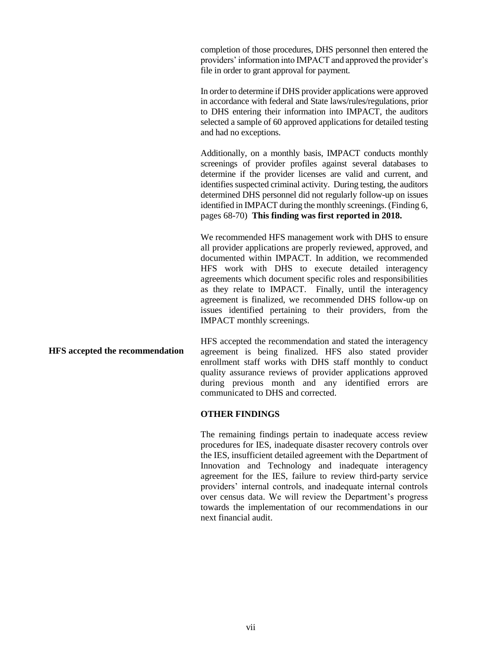completion of those procedures, DHS personnel then entered the providers' information into IMPACT and approved the provider's file in order to grant approval for payment.

In order to determine if DHS provider applications were approved in accordance with federal and State laws/rules/regulations, prior to DHS entering their information into IMPACT, the auditors selected a sample of 60 approved applications for detailed testing and had no exceptions.

Additionally, on a monthly basis, IMPACT conducts monthly screenings of provider profiles against several databases to determine if the provider licenses are valid and current, and identifies suspected criminal activity. During testing, the auditors determined DHS personnel did not regularly follow-up on issues identified in IMPACT during the monthly screenings. (Finding 6, pages 68-70) **This finding was first reported in 2018.**

We recommended HFS management work with DHS to ensure all provider applications are properly reviewed, approved, and documented within IMPACT. In addition, we recommended HFS work with DHS to execute detailed interagency agreements which document specific roles and responsibilities as they relate to IMPACT. Finally, until the interagency agreement is finalized, we recommended DHS follow-up on issues identified pertaining to their providers, from the IMPACT monthly screenings.

**HFS accepted the recommendation** HFS accepted the recommendation and stated the interagency agreement is being finalized. HFS also stated provider enrollment staff works with DHS staff monthly to conduct quality assurance reviews of provider applications approved during previous month and any identified errors are communicated to DHS and corrected.

#### **OTHER FINDINGS**

The remaining findings pertain to inadequate access review procedures for IES, inadequate disaster recovery controls over the IES, insufficient detailed agreement with the Department of Innovation and Technology and inadequate interagency agreement for the IES, failure to review third-party service providers' internal controls, and inadequate internal controls over census data. We will review the Department's progress towards the implementation of our recommendations in our next financial audit.